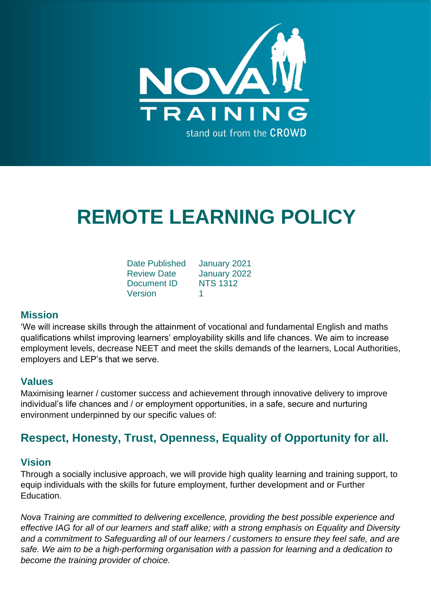

# **REMOTE LEARNING POLICY**

| <b>Date Published</b> | January 2021    |
|-----------------------|-----------------|
| <b>Review Date</b>    | January 2022    |
| Document ID           | <b>NTS 1312</b> |
| Version               | 1               |

# **Mission**

'We will increase skills through the attainment of vocational and fundamental English and maths qualifications whilst improving learners' employability skills and life chances. We aim to increase employment levels, decrease NEET and meet the skills demands of the learners, Local Authorities, employers and LEP's that we serve.

# **Values**

Maximising learner / customer success and achievement through innovative delivery to improve individual's life chances and / or employment opportunities, in a safe, secure and nurturing environment underpinned by our specific values of:

# **Respect, Honesty, Trust, Openness, Equality of Opportunity for all.**

# **Vision**

Through a socially inclusive approach, we will provide high quality learning and training support, to equip individuals with the skills for future employment, further development and or Further **Education** 

*Nova Training are committed to delivering excellence, providing the best possible experience and effective IAG for all of our learners and staff alike; with a strong emphasis on Equality and Diversity and a commitment to Safeguarding all of our learners / customers to ensure they feel safe, and are safe. We aim to be a high-performing organisation with a passion for learning and a dedication to become the training provider of choice.*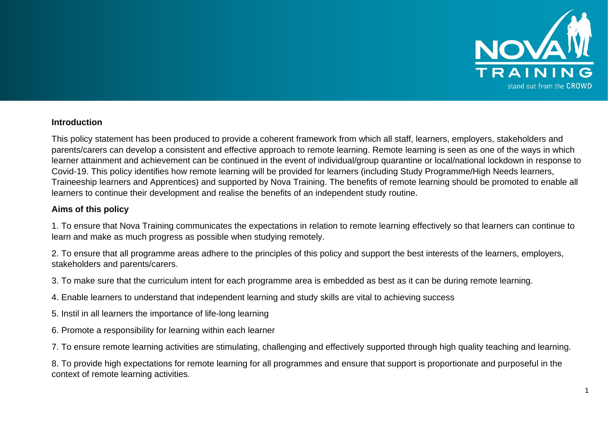

#### **Introduction**

This policy statement has been produced to provide a coherent framework from which all staff, learners, employers, stakeholders and parents/carers can develop a consistent and effective approach to remote learning. Remote learning is seen as one of the ways in which learner attainment and achievement can be continued in the event of individual/group quarantine or local/national lockdown in response to Covid-19. This policy identifies how remote learning will be provided for learners (including Study Programme/High Needs learners, Traineeship learners and Apprentices) and supported by Nova Training. The benefits of remote learning should be promoted to enable all learners to continue their development and realise the benefits of an independent study routine.

#### **Aims of this policy**

1. To ensure that Nova Training communicates the expectations in relation to remote learning effectively so that learners can continue to learn and make as much progress as possible when studying remotely.

2. To ensure that all programme areas adhere to the principles of this policy and support the best interests of the learners, employers, stakeholders and parents/carers.

3. To make sure that the curriculum intent for each programme area is embedded as best as it can be during remote learning.

- 4. Enable learners to understand that independent learning and study skills are vital to achieving success
- 5. Instil in all learners the importance of life-long learning
- 6. Promote a responsibility for learning within each learner
- 7. To ensure remote learning activities are stimulating, challenging and effectively supported through high quality teaching and learning.

8. To provide high expectations for remote learning for all programmes and ensure that support is proportionate and purposeful in the context of remote learning activities.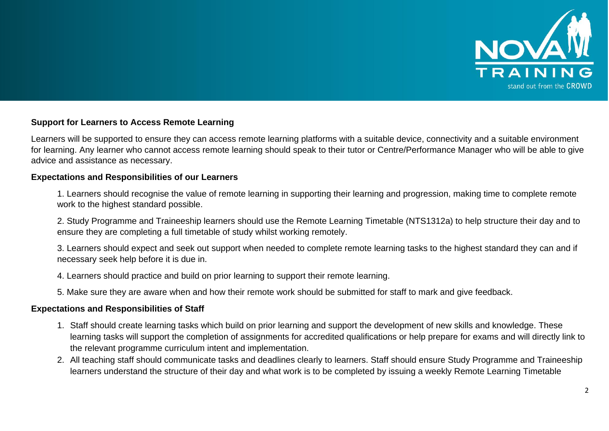

#### **Support for Learners to Access Remote Learning**

Learners will be supported to ensure they can access remote learning platforms with a suitable device, connectivity and a suitable environment for learning. Any learner who cannot access remote learning should speak to their tutor or Centre/Performance Manager who will be able to give advice and assistance as necessary.

#### **Expectations and Responsibilities of our Learners**

1. Learners should recognise the value of remote learning in supporting their learning and progression, making time to complete remote work to the highest standard possible.

2. Study Programme and Traineeship learners should use the Remote Learning Timetable (NTS1312a) to help structure their day and to ensure they are completing a full timetable of study whilst working remotely.

3. Learners should expect and seek out support when needed to complete remote learning tasks to the highest standard they can and if necessary seek help before it is due in.

4. Learners should practice and build on prior learning to support their remote learning.

5. Make sure they are aware when and how their remote work should be submitted for staff to mark and give feedback.

#### **Expectations and Responsibilities of Staff**

- 1. Staff should create learning tasks which build on prior learning and support the development of new skills and knowledge. These learning tasks will support the completion of assignments for accredited qualifications or help prepare for exams and will directly link to the relevant programme curriculum intent and implementation.
- 2. All teaching staff should communicate tasks and deadlines clearly to learners. Staff should ensure Study Programme and Traineeship learners understand the structure of their day and what work is to be completed by issuing a weekly Remote Learning Timetable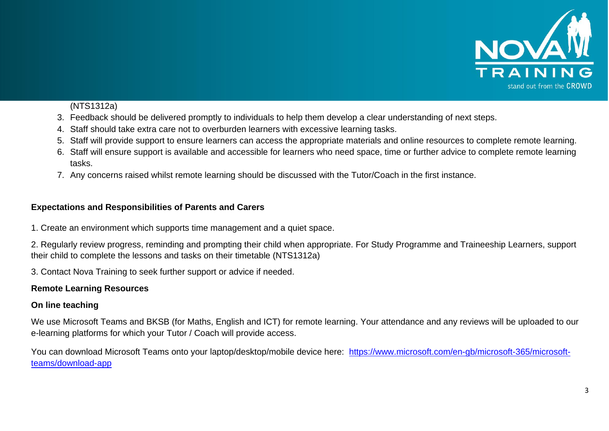

# (NTS1312a)

- 3. Feedback should be delivered promptly to individuals to help them develop a clear understanding of next steps.
- 4. Staff should take extra care not to overburden learners with excessive learning tasks.
- 5. Staff will provide support to ensure learners can access the appropriate materials and online resources to complete remote learning.
- 6. Staff will ensure support is available and accessible for learners who need space, time or further advice to complete remote learning tasks.
- 7. Any concerns raised whilst remote learning should be discussed with the Tutor/Coach in the first instance.

# **Expectations and Responsibilities of Parents and Carers**

1. Create an environment which supports time management and a quiet space.

2. Regularly review progress, reminding and prompting their child when appropriate. For Study Programme and Traineeship Learners, support their child to complete the lessons and tasks on their timetable (NTS1312a)

3. Contact Nova Training to seek further support or advice if needed.

# **Remote Learning Resources**

# **On line teaching**

We use Microsoft Teams and BKSB (for Maths, English and ICT) for remote learning. Your attendance and any reviews will be uploaded to our e-learning platforms for which your Tutor / Coach will provide access.

You can download Microsoft Teams onto your laptop/desktop/mobile device here: [https://www.microsoft.com/en-gb/microsoft-365/microsoft](https://www.microsoft.com/en-gb/microsoft-365/microsoft-teams/download-app)[teams/download-app](https://www.microsoft.com/en-gb/microsoft-365/microsoft-teams/download-app)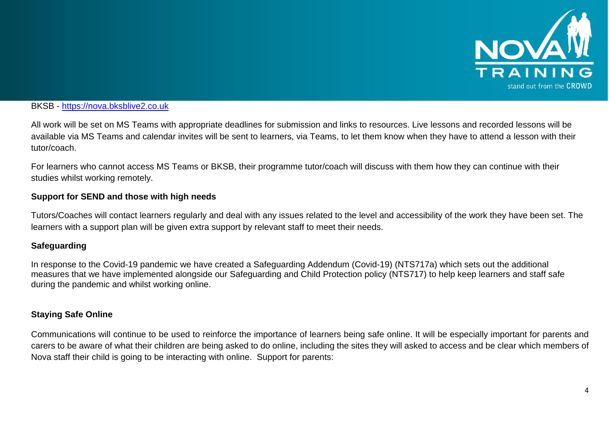

#### BKSB - [https://nova.bksblive2.co.uk](https://nova.bksblive2.co.uk/)

All work will be set on MS Teams with appropriate deadlines for submission and links to resources. Live lessons and recorded lessons will be available via MS Teams and calendar invites will be sent to learners, via Teams, to let them know when they have to attend a lesson with their tutor/coach.

For learners who cannot access MS Teams or BKSB, their programme tutor/coach will discuss with them how they can continue with their studies whilst working remotely.

# **Support for SEND and those with high needs**

Tutors/Coaches will contact learners regularly and deal with any issues related to the level and accessibility of the work they have been set. The learners with a support plan will be given extra support by relevant staff to meet their needs.

#### **Safeguarding**

In response to the Covid-19 pandemic we have created a Safeguarding Addendum (Covid-19) (NTS717a) which sets out the additional measures that we have implemented alongside our Safeguarding and Child Protection policy (NTS717) to help keep learners and staff safe during the pandemic and whilst working online.

#### **Staying Safe Online**

Communications will continue to be used to reinforce the importance of learners being safe online. It will be especially important for parents and carers to be aware of what their children are being asked to do online, including the sites they will asked to access and be clear which members of Nova staff their child is going to be interacting with online. Support for parents: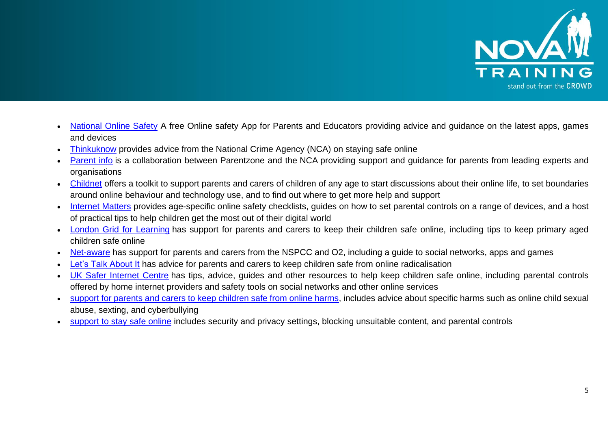

- [National Online Safety](https://info.nationalonlinesafety.com/mobile-app?utm_term=national%20online%20safety&utm_campaign=App+Download+Landing+Page&utm_source=adwords&utm_medium=ppc&hsa_acc=1751242191&hsa_cam=11709503408&hsa_grp=109008906890&hsa_ad=482358400923&hsa_src=g&hsa_tgt=kwd-1038994889699&hsa_kw=national%20online%20safety&hsa_mt=b&hsa_net=adwords&hsa_ver=3&gclid=EAIaIQobChMI_LSmtIGC7gIVCtTtCh0iRQM4EAAYASAAEgLL3fD_BwE) A free Online safety App for Parents and Educators providing advice and guidance on the latest apps, games and devices
- [Thinkuknow](http://www.thinkuknow.co.uk/) provides advice from the National Crime Agency (NCA) on staying safe online
- [Parent info](https://parentinfo.org/) is a collaboration between Parentzone and the NCA providing support and quidance for parents from leading experts and organisations
- [Childnet](https://www.childnet.com/parents-and-carers/parent-and-carer-toolkit) offers a toolkit to support parents and carers of children of any age to start discussions about their online life, to set boundaries around online behaviour and technology use, and to find out where to get more help and support
- [Internet Matters](https://www.internetmatters.org/?gclid=EAIaIQobChMIktuA5LWK2wIVRYXVCh2afg2aEAAYASAAEgIJ5vD_BwE) provides age-specific online safety checklists, guides on how to set parental controls on a range of devices, and a host of practical tips to help children get the most out of their digital world
- [London Grid for Learning](http://www.lgfl.net/online-safety/) has support for parents and carers to keep their children safe online, including tips to keep primary aged children safe online
- [Net-aware](https://www.net-aware.org.uk/) has support for parents and carers from the NSPCC and O2, including a guide to social networks, apps and games
- **[Let's Talk About It](https://www.ltai.info/staying-safe-online/) has advice for parents and carers to keep children safe from online radicalisation**
- [UK Safer Internet Centre](https://www.saferinternet.org.uk/advice-centre/parents-and-carers) has tips, advice, quides and other resources to help keep children safe online, including parental controls offered by home internet providers and safety tools on social networks and other online services
- [support for parents and carers to keep children safe from online harms,](https://www.gov.uk/government/publications/coronavirus-covid-19-keeping-children-safe-online/coronavirus-covid-19-support-for-parents-and-carers-to-keep-children-safe-online) includes advice about specific harms such as online child sexual abuse, sexting, and cyberbullying
- [support to stay safe online](https://www.gov.uk/guidance/covid-19-staying-safe-online) includes security and privacy settings, blocking unsuitable content, and parental controls